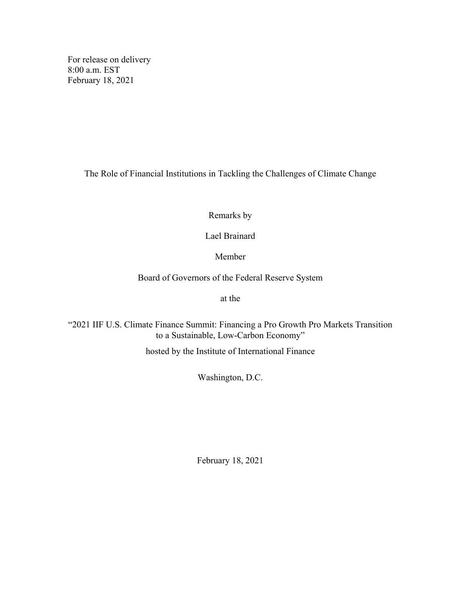For release on delivery 8:00 a.m. EST February 18, 2021

The Role of Financial Institutions in Tackling the Challenges of Climate Change

Remarks by

Lael Brainard

Member

Board of Governors of the Federal Reserve System

at the

"2021 IIF U.S. Climate Finance Summit: Financing a Pro Growth Pro Markets Transition to a Sustainable, Low-Carbon Economy"

hosted by the Institute of International Finance

Washington, D.C.

February 18, 2021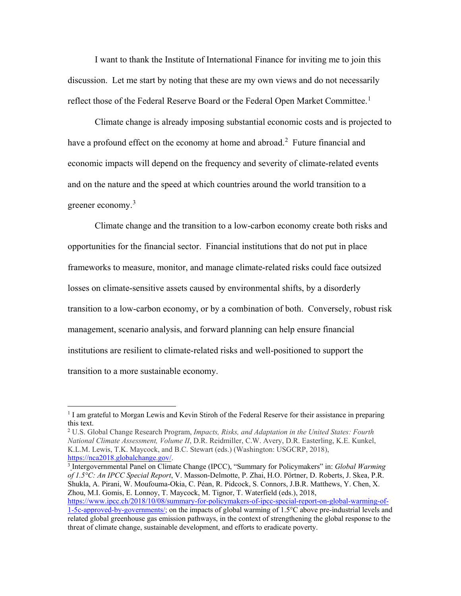I want to thank the Institute of International Finance for inviting me to join this discussion. Let me start by noting that these are my own views and do not necessarily reflect those of the Federal Reserve Board or the Federal Open Market Committee.<sup>[1](#page-1-0)</sup>

Climate change is already imposing substantial economic costs and is projected to have a profound effect on the economy at home and abroad.<sup>[2](#page-1-1)</sup> Future financial and economic impacts will depend on the frequency and severity of climate-related events and on the nature and the speed at which countries around the world transition to a greener economy.<sup>[3](#page-1-2)</sup>

Climate change and the transition to a low-carbon economy create both risks and opportunities for the financial sector. Financial institutions that do not put in place frameworks to measure, monitor, and manage climate-related risks could face outsized losses on climate-sensitive assets caused by environmental shifts, by a disorderly transition to a low-carbon economy, or by a combination of both. Conversely, robust risk management, scenario analysis, and forward planning can help ensure financial institutions are resilient to climate-related risks and well-positioned to support the transition to a more sustainable economy.

<span id="page-1-2"></span><sup>3</sup> Intergovernmental Panel on Climate Change (IPCC), "Summary for Policymakers" in: *Global Warming of 1.5°C: An IPCC Special Report*, V. Masson-Delmotte, P. Zhai, H.O. Pörtner, D. Roberts, J. Skea, P.R. Shukla, A. Pirani, W. Moufouma-Okia, C. Péan, R. Pidcock, S. Connors, J.B.R. Matthews, Y. Chen, X. Zhou, M.I. Gomis, E. Lonnoy, T. Maycock, M. Tignor, T. Waterfield (eds.), 2018, [https://www.ipcc.ch/2018/10/08/summary-for-policymakers-of-ipcc-special-report-on-global-warming-of-](https://www.ipcc.ch/2018/10/08/summary-for-policymakers-of-ipcc-special-report-on-global-warming-of-1-5c-approved-by-governments/)[1-5c-approved-by-governments/;](https://www.ipcc.ch/2018/10/08/summary-for-policymakers-of-ipcc-special-report-on-global-warming-of-1-5c-approved-by-governments/) on the impacts of global warming of 1.5°C above pre-industrial levels and related global greenhouse gas emission pathways, in the context of strengthening the global response to the

threat of climate change, sustainable development, and efforts to eradicate poverty.

<span id="page-1-0"></span> $1$  I am grateful to Morgan Lewis and Kevin Stiroh of the Federal Reserve for their assistance in preparing this text.

<span id="page-1-1"></span><sup>2</sup> U.S. Global Change Research Program, *Impacts, Risks, and Adaptation in the United States: Fourth National Climate Assessment, Volume II*, D.R. Reidmiller, C.W. Avery, D.R. Easterling, K.E. Kunkel, K.L.M. Lewis, T.K. Maycock, and B.C. Stewart (eds.) (Washington: USGCRP, 2018), [https://nca2018.globalchange.gov/.](https://nca2018.globalchange.gov/)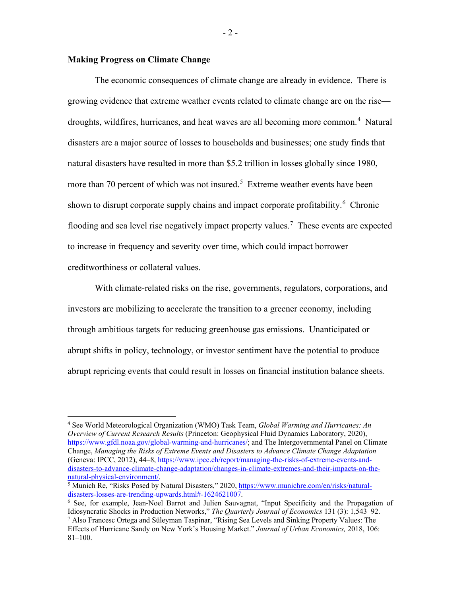### **Making Progress on Climate Change**

The economic consequences of climate change are already in evidence. There is growing evidence that extreme weather events related to climate change are on the rise— droughts, wildfires, hurricanes, and heat waves are all becoming more common.<sup>[4](#page-2-0)</sup> Natural disasters are a major source of losses to households and businesses; one study finds that natural disasters have resulted in more than \$5.2 trillion in losses globally since 1980, more than 70 percent of which was not insured. [5](#page-2-1) Extreme weather events have been shown to disrupt corporate supply chains and impact corporate profitability.<sup>[6](#page-2-2)</sup> Chronic flooding and sea level rise negatively impact property values.<sup>[7](#page-2-3)</sup> These events are expected to increase in frequency and severity over time, which could impact borrower creditworthiness or collateral values.

With climate-related risks on the rise, governments, regulators, corporations, and investors are mobilizing to accelerate the transition to a greener economy, including through ambitious targets for reducing greenhouse gas emissions. Unanticipated or abrupt shifts in policy, technology, or investor sentiment have the potential to produce abrupt repricing events that could result in losses on financial institution balance sheets.

<span id="page-2-0"></span> <sup>4</sup> See World Meteorological Organization (WMO) Task Team, *Global Warming and Hurricanes: An Overview of Current Research Results* (Princeton: Geophysical Fluid Dynamics Laboratory, 2020), [https://www.gfdl.noaa.gov/global-warming-and-hurricanes/;](https://www.gfdl.noaa.gov/global-warming-and-hurricanes/) and The Intergovernmental Panel on Climate Change, *Managing the Risks of Extreme Events and Disasters to Advance Climate Change Adaptation* (Geneva: IPCC, 2012), 44–8[, https://www.ipcc.ch/report/managing-the-risks-of-extreme-events-and](https://www.ipcc.ch/report/managing-the-risks-of-extreme-events-and-disasters-to-advance-climate-change-adaptation/changes-in-climate-extremes-and-their-impacts-on-the-natural-physical-environment/)[disasters-to-advance-climate-change-adaptation/changes-in-climate-extremes-and-their-impacts-on-the](https://www.ipcc.ch/report/managing-the-risks-of-extreme-events-and-disasters-to-advance-climate-change-adaptation/changes-in-climate-extremes-and-their-impacts-on-the-natural-physical-environment/)[natural-physical-environment/.](https://www.ipcc.ch/report/managing-the-risks-of-extreme-events-and-disasters-to-advance-climate-change-adaptation/changes-in-climate-extremes-and-their-impacts-on-the-natural-physical-environment/)

<span id="page-2-1"></span><sup>&</sup>lt;sup>5</sup> Munich Re, "Risks Posed by Natural Disasters," 2020,  $\frac{https://www.munichre.com/en/risks/natural-disasters-losses-are-trending-upwards.html#-1624621007.$ 

<span id="page-2-3"></span><span id="page-2-2"></span> $6$  See, for example, Jean-Noel Barrot and Julien Sauvagnat, "Input Specificity and the Propagation of Idiosyncratic Shocks in Production Networks," *The Quarterly Journal of Economics* 131 (3): 1,543–92. 7 Also Francesc Ortega and Süleyman Taspinar, "Rising Sea Levels and Sinking Property Values: The Effects of Hurricane Sandy on New York's Housing Market." *Journal of Urban Economics,* 2018, 106: 81–100.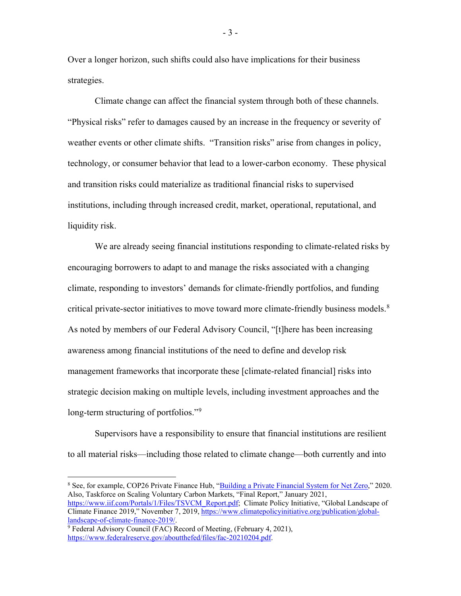Over a longer horizon, such shifts could also have implications for their business strategies.

Climate change can affect the financial system through both of these channels. "Physical risks" refer to damages caused by an increase in the frequency or severity of weather events or other climate shifts. "Transition risks" arise from changes in policy, technology, or consumer behavior that lead to a lower-carbon economy. These physical and transition risks could materialize as traditional financial risks to supervised institutions, including through increased credit, market, operational, reputational, and liquidity risk.

We are already seeing financial institutions responding to climate-related risks by encouraging borrowers to adapt to and manage the risks associated with a changing climate, responding to investors' demands for climate-friendly portfolios, and funding critical private-sector initiatives to move toward more climate-friendly business models.<sup>[8](#page-3-0)</sup> As noted by members of our Federal Advisory Council, "[t]here has been increasing awareness among financial institutions of the need to define and develop risk management frameworks that incorporate these [climate-related financial] risks into strategic decision making on multiple levels, including investment approaches and the long-term structuring of portfolios."<sup>[9](#page-3-1)</sup>

Supervisors have a responsibility to ensure that financial institutions are resilient to all material risks—including those related to climate change—both currently and into

- 3 -

<span id="page-3-0"></span><sup>&</sup>lt;sup>8</sup> See, for example, COP26 Private Finance Hub, ["Building a Private Financial System for Net Zero,](https://ukcop26.org/wp-content/uploads/2020/11/COP26-Private-Finance-Hub-Strategy_Nov-2020v4.1.pdf)" 2020. Also, Taskforce on Scaling Voluntary Carbon Markets, "Final Report," January 2021, [https://www.iif.com/Portals/1/Files/TSVCM\\_Report.pdf;](https://www.iif.com/Portals/1/Files/TSVCM_Report.pdf) Climate Policy Initiative, "Global Landscape of Climate Finance 2019," November 7, 2019, [https://www.climatepolicyinitiative.org/publication/global](https://www.climatepolicyinitiative.org/publication/global-landscape-of-climate-finance-2019/)[landscape-of-climate-finance-2019/.](https://www.climatepolicyinitiative.org/publication/global-landscape-of-climate-finance-2019/)

<span id="page-3-1"></span><sup>&</sup>lt;sup>9</sup> Federal Advisory Council (FAC) Record of Meeting, (February 4, 2021), [https://www.federalreserve.gov/aboutthefed/files/fac-20210204.pdf.](https://www.federalreserve.gov/aboutthefed/files/fac-20210204.pdf)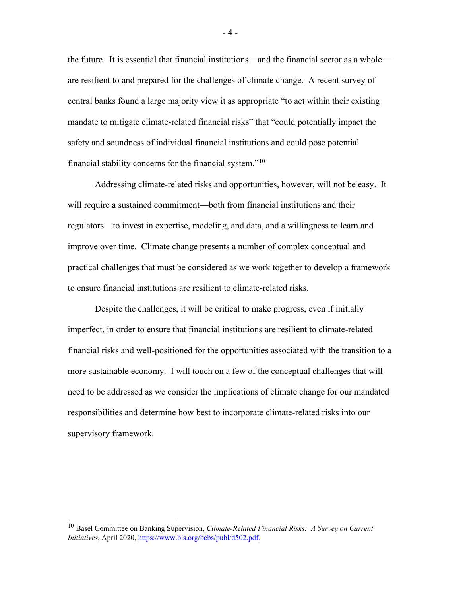the future. It is essential that financial institutions—and the financial sector as a whole are resilient to and prepared for the challenges of climate change. A recent survey of central banks found a large majority view it as appropriate "to act within their existing mandate to mitigate climate-related financial risks" that "could potentially impact the safety and soundness of individual financial institutions and could pose potential financial stability concerns for the financial system."[10](#page-4-0)

Addressing climate-related risks and opportunities, however, will not be easy. It will require a sustained commitment—both from financial institutions and their regulators—to invest in expertise, modeling, and data, and a willingness to learn and improve over time. Climate change presents a number of complex conceptual and practical challenges that must be considered as we work together to develop a framework to ensure financial institutions are resilient to climate-related risks.

Despite the challenges, it will be critical to make progress, even if initially imperfect, in order to ensure that financial institutions are resilient to climate-related financial risks and well-positioned for the opportunities associated with the transition to a more sustainable economy. I will touch on a few of the conceptual challenges that will need to be addressed as we consider the implications of climate change for our mandated responsibilities and determine how best to incorporate climate-related risks into our supervisory framework.

<span id="page-4-0"></span> <sup>10</sup> Basel Committee on Banking Supervision, *Climate-Related Financial Risks: A Survey on Current Initiatives*, April 2020[, https://www.bis.org/bcbs/publ/d502.pdf.](https://www.bis.org/bcbs/publ/d502.pdf)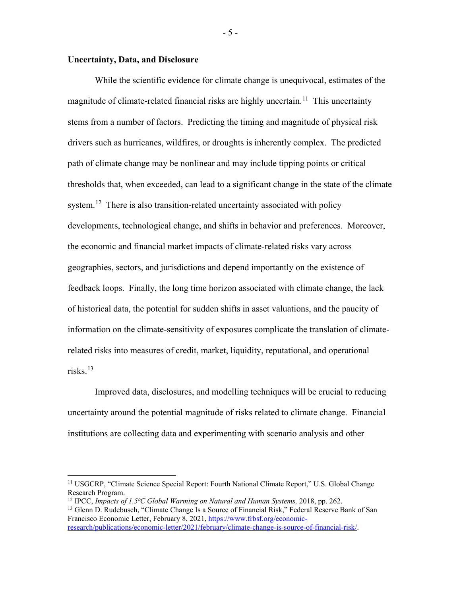# **Uncertainty, Data, and Disclosure**

While the scientific evidence for climate change is unequivocal, estimates of the magnitude of climate-related financial risks are highly uncertain.<sup>[11](#page-5-0)</sup> This uncertainty stems from a number of factors. Predicting the timing and magnitude of physical risk drivers such as hurricanes, wildfires, or droughts is inherently complex. The predicted path of climate change may be nonlinear and may include tipping points or critical thresholds that, when exceeded, can lead to a significant change in the state of the climate system.<sup>12</sup> There is also transition-related uncertainty associated with policy developments, technological change, and shifts in behavior and preferences. Moreover, the economic and financial market impacts of climate-related risks vary across geographies, sectors, and jurisdictions and depend importantly on the existence of feedback loops. Finally, the long time horizon associated with climate change, the lack of historical data, the potential for sudden shifts in asset valuations, and the paucity of information on the climate-sensitivity of exposures complicate the translation of climaterelated risks into measures of credit, market, liquidity, reputational, and operational risks. [13](#page-5-2)

Improved data, disclosures, and modelling techniques will be crucial to reducing uncertainty around the potential magnitude of risks related to climate change. Financial institutions are collecting data and experimenting with scenario analysis and other

- 5 -

<span id="page-5-0"></span> <sup>11</sup> USGCRP, "Climate Science Special Report: Fourth National Climate Report," U.S. Global Change Research Program.

<span id="page-5-1"></span><sup>12</sup> IPCC, *Impacts of 1.5⁰C Global Warming on Natural and Human Systems,* 2018, pp. 262.

<span id="page-5-2"></span><sup>&</sup>lt;sup>13</sup> Glenn D. Rudebusch, "Climate Change Is a Source of Financial Risk," Federal Reserve Bank of San Francisco Economic Letter, February 8, 2021, [https://www.frbsf.org/economic](https://www.frbsf.org/economic-research/publications/economic-letter/2021/february/climate-change-is-source-of-financial-risk/)[research/publications/economic-letter/2021/february/climate-change-is-source-of-financial-risk/.](https://www.frbsf.org/economic-research/publications/economic-letter/2021/february/climate-change-is-source-of-financial-risk/)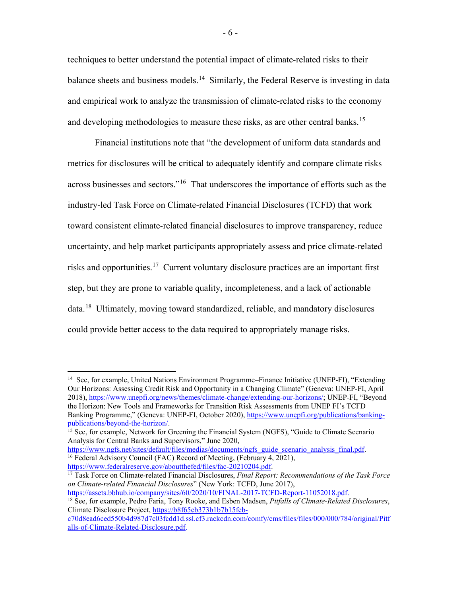techniques to better understand the potential impact of climate-related risks to their balance sheets and business models.<sup>[14](#page-6-0)</sup> Similarly, the Federal Reserve is investing in data and empirical work to analyze the transmission of climate-related risks to the economy and developing methodologies to measure these risks, as are other central banks.<sup>[15](#page-6-1)</sup>

Financial institutions note that "the development of uniform data standards and metrics for disclosures will be critical to adequately identify and compare climate risks across businesses and sectors."[16](#page-6-2) That underscores the importance of efforts such as the industry-led Task Force on Climate-related Financial Disclosures (TCFD) that work toward consistent climate-related financial disclosures to improve transparency, reduce uncertainty, and help market participants appropriately assess and price climate-related risks and opportunities.<sup>[17](#page-6-3)</sup> Current voluntary disclosure practices are an important first step, but they are prone to variable quality, incompleteness, and a lack of actionable data.<sup>18</sup> Ultimately, moving toward standardized, reliable, and mandatory disclosures could provide better access to the data required to appropriately manage risks.

<span id="page-6-3"></span><sup>17</sup> Task Force on Climate-related Financial Disclosures, *Final Report: Recommendations of the Task Force on Climate-related Financial Disclosures*" (New York: TCFD, June 2017), <https://assets.bbhub.io/company/sites/60/2020/10/FINAL-2017-TCFD-Report-11052018.pdf.>

<span id="page-6-0"></span> <sup>14</sup> See, for example, United Nations Environment Programme–Finance Initiative (UNEP-FI), "Extending Our Horizons: Assessing Credit Risk and Opportunity in a Changing Climate" (Geneva: UNEP-FI, April 2018), [https://www.unepfi.org/news/themes/climate-change/extending-our-horizons/;](https://www.unepfi.org/news/themes/climate-change/extending-our-horizons/) UNEP-FI, "Beyond the Horizon: New Tools and Frameworks for Transition Risk Assessments from UNEP FI's TCFD Banking Programme," (Geneva: UNEP-FI, October 2020), [https://www.unepfi.org/publications/banking](https://www.unepfi.org/publications/banking-publications/beyond-the-horizon/)[publications/beyond-the-horizon/.](https://www.unepfi.org/publications/banking-publications/beyond-the-horizon/)

<span id="page-6-1"></span><sup>&</sup>lt;sup>15</sup> See, for example, Network for Greening the Financial System (NGFS), "Guide to Climate Scenario Analysis for Central Banks and Supervisors," June 2020,

<span id="page-6-2"></span>[https://www.ngfs.net/sites/default/files/medias/documents/ngfs\\_guide\\_scenario\\_analysis\\_final.pdf.](https://www.ngfs.net/sites/default/files/medias/documents/ngfs_guide_scenario_analysis_final.pdf) 16 Federal Advisory Council (FAC) Record of Meeting, (February 4, 2021), [https://www.federalreserve.gov/aboutthefed/files/fac-20210204.pdf.](https://www.federalreserve.gov/aboutthefed/files/fac-20210204.pdf)

<span id="page-6-4"></span><sup>18</sup> See, for example, Pedro Faria, Tony Rooke, and Esben Madsen, *Pitfalls of Climate-Related Disclosures*, Climate Disclosure Project, [https://b8f65cb373b1b7b15feb-](https://b8f65cb373b1b7b15feb-c70d8ead6ced550b4d987d7c03fcdd1d.ssl.cf3.rackcdn.com/comfy/cms/files/files/000/000/784/original/Pitfalls-of-Climate-Related-Disclosure.pdf)

[c70d8ead6ced550b4d987d7c03fcdd1d.ssl.cf3.rackcdn.com/comfy/cms/files/files/000/000/784/original/Pitf](https://b8f65cb373b1b7b15feb-c70d8ead6ced550b4d987d7c03fcdd1d.ssl.cf3.rackcdn.com/comfy/cms/files/files/000/000/784/original/Pitfalls-of-Climate-Related-Disclosure.pdf) [alls-of-Climate-Related-Disclosure.pdf.](https://b8f65cb373b1b7b15feb-c70d8ead6ced550b4d987d7c03fcdd1d.ssl.cf3.rackcdn.com/comfy/cms/files/files/000/000/784/original/Pitfalls-of-Climate-Related-Disclosure.pdf)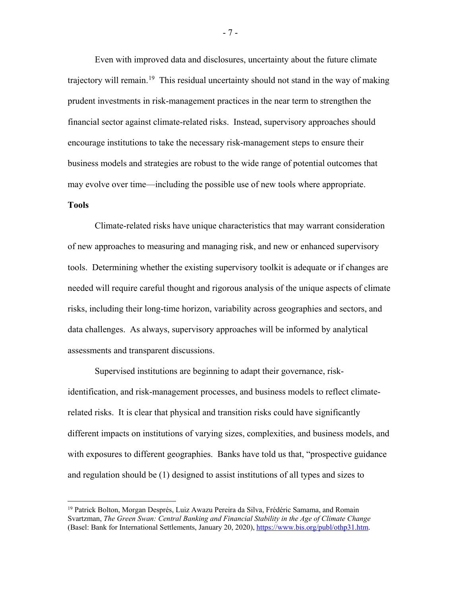Even with improved data and disclosures, uncertainty about the future climate trajectory will remain.<sup>[19](#page-7-0)</sup> This residual uncertainty should not stand in the way of making prudent investments in risk-management practices in the near term to strengthen the financial sector against climate-related risks. Instead, supervisory approaches should encourage institutions to take the necessary risk-management steps to ensure their business models and strategies are robust to the wide range of potential outcomes that may evolve over time—including the possible use of new tools where appropriate.

#### **Tools**

Climate-related risks have unique characteristics that may warrant consideration of new approaches to measuring and managing risk, and new or enhanced supervisory tools. Determining whether the existing supervisory toolkit is adequate or if changes are needed will require careful thought and rigorous analysis of the unique aspects of climate risks, including their long-time horizon, variability across geographies and sectors, and data challenges. As always, supervisory approaches will be informed by analytical assessments and transparent discussions.

Supervised institutions are beginning to adapt their governance, riskidentification, and risk-management processes, and business models to reflect climaterelated risks. It is clear that physical and transition risks could have significantly different impacts on institutions of varying sizes, complexities, and business models, and with exposures to different geographies. Banks have told us that, "prospective guidance and regulation should be (1) designed to assist institutions of all types and sizes to

- 7 -

<span id="page-7-0"></span> <sup>19</sup> Patrick Bolton, Morgan Després, Luiz Awazu Pereira da Silva, Frédéric Samama, and Romain Svartzman, *The Green Swan: Central Banking and Financial Stability in the Age of Climate Change* (Basel: Bank for International Settlements, January 20, 2020), [https://www.bis.org/publ/othp31.htm.](https://www.bis.org/publ/othp31.htm)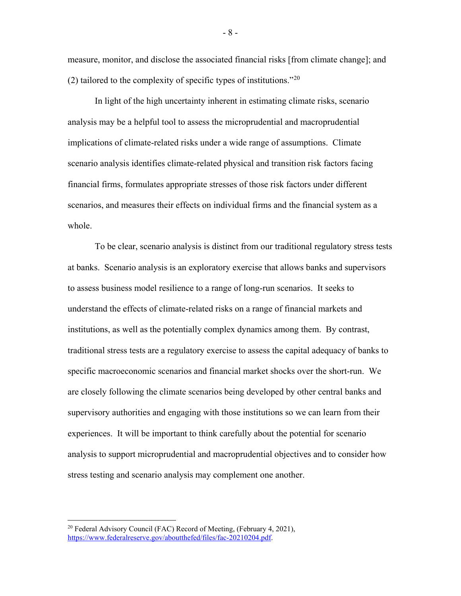measure, monitor, and disclose the associated financial risks [from climate change]; and (2) tailored to the complexity of specific types of institutions."<sup>[20](#page-8-0)</sup>

In light of the high uncertainty inherent in estimating climate risks, scenario analysis may be a helpful tool to assess the microprudential and macroprudential implications of climate-related risks under a wide range of assumptions. Climate scenario analysis identifies climate-related physical and transition risk factors facing financial firms, formulates appropriate stresses of those risk factors under different scenarios, and measures their effects on individual firms and the financial system as a whole.

To be clear, scenario analysis is distinct from our traditional regulatory stress tests at banks. Scenario analysis is an exploratory exercise that allows banks and supervisors to assess business model resilience to a range of long-run scenarios. It seeks to understand the effects of climate-related risks on a range of financial markets and institutions, as well as the potentially complex dynamics among them. By contrast, traditional stress tests are a regulatory exercise to assess the capital adequacy of banks to specific macroeconomic scenarios and financial market shocks over the short-run. We are closely following the climate scenarios being developed by other central banks and supervisory authorities and engaging with those institutions so we can learn from their experiences. It will be important to think carefully about the potential for scenario analysis to support microprudential and macroprudential objectives and to consider how stress testing and scenario analysis may complement one another.

<span id="page-8-0"></span><sup>&</sup>lt;sup>20</sup> Federal Advisory Council (FAC) Record of Meeting, (February 4, 2021), [https://www.federalreserve.gov/aboutthefed/files/fac-20210204.pdf.](https://www.federalreserve.gov/aboutthefed/files/fac-20210204.pdf)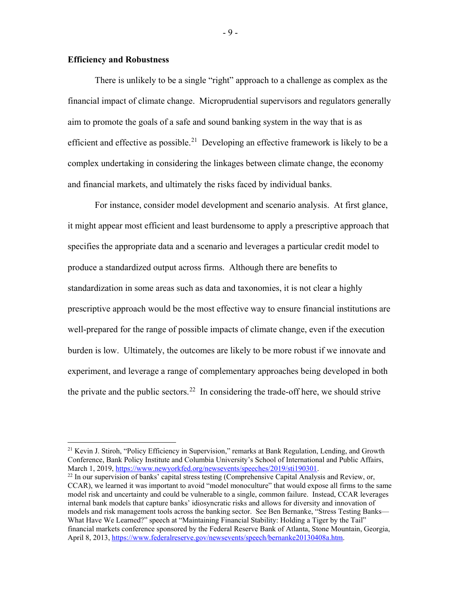# **Efficiency and Robustness**

There is unlikely to be a single "right" approach to a challenge as complex as the financial impact of climate change. Microprudential supervisors and regulators generally aim to promote the goals of a safe and sound banking system in the way that is as efficient and effective as possible.<sup>[21](#page-9-0)</sup> Developing an effective framework is likely to be a complex undertaking in considering the linkages between climate change, the economy and financial markets, and ultimately the risks faced by individual banks.

For instance, consider model development and scenario analysis. At first glance, it might appear most efficient and least burdensome to apply a prescriptive approach that specifies the appropriate data and a scenario and leverages a particular credit model to produce a standardized output across firms. Although there are benefits to standardization in some areas such as data and taxonomies, it is not clear a highly prescriptive approach would be the most effective way to ensure financial institutions are well-prepared for the range of possible impacts of climate change, even if the execution burden is low. Ultimately, the outcomes are likely to be more robust if we innovate and experiment, and leverage a range of complementary approaches being developed in both the private and the public sectors.<sup>[22](#page-9-1)</sup> In considering the trade-off here, we should strive

- 9 -

<span id="page-9-0"></span><sup>&</sup>lt;sup>21</sup> Kevin J. Stiroh, "Policy Efficiency in Supervision," remarks at Bank Regulation, Lending, and Growth Conference, Bank Policy Institute and Columbia University's School of International and Public Affairs, March 1, 2019[, https://www.newyorkfed.org/newsevents/speeches/2019/sti190301.](https://www.newyorkfed.org/newsevents/speeches/2019/sti190301)

<span id="page-9-1"></span> $^{22}$  In our supervision of banks' capital stress testing (Comprehensive Capital Analysis and Review, or, CCAR), we learned it was important to avoid "model monoculture" that would expose all firms to the same model risk and uncertainty and could be vulnerable to a single, common failure. Instead, CCAR leverages internal bank models that capture banks' idiosyncratic risks and allows for diversity and innovation of models and risk management tools across the banking sector. See Ben Bernanke, "Stress Testing Banks— What Have We Learned?" speech at "Maintaining Financial Stability: Holding a Tiger by the Tail" financial markets conference sponsored by the Federal Reserve Bank of Atlanta, Stone Mountain, Georgia, April 8, 2013[, https://www.federalreserve.gov/newsevents/speech/bernanke20130408a.htm.](https://www.federalreserve.gov/newsevents/speech/bernanke20130408a.htm)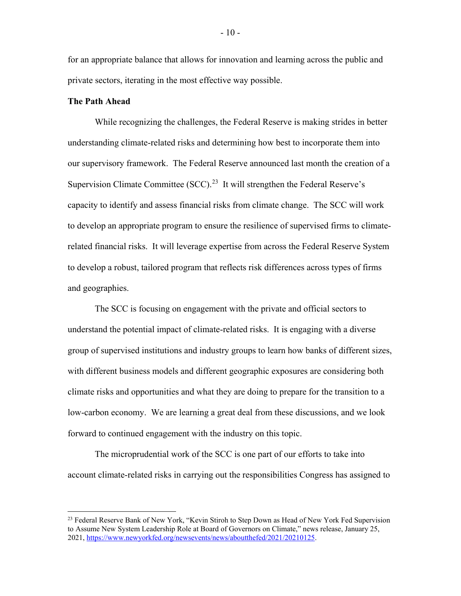for an appropriate balance that allows for innovation and learning across the public and private sectors, iterating in the most effective way possible.

### **The Path Ahead**

While recognizing the challenges, the Federal Reserve is making strides in better understanding climate-related risks and determining how best to incorporate them into our supervisory framework. The Federal Reserve announced last month the creation of a Supervision Climate Committee (SCC).<sup>23</sup> It will strengthen the Federal Reserve's capacity to identify and assess financial risks from climate change. The SCC will work to develop an appropriate program to ensure the resilience of supervised firms to climaterelated financial risks. It will leverage expertise from across the Federal Reserve System to develop a robust, tailored program that reflects risk differences across types of firms and geographies.

The SCC is focusing on engagement with the private and official sectors to understand the potential impact of climate-related risks. It is engaging with a diverse group of supervised institutions and industry groups to learn how banks of different sizes, with different business models and different geographic exposures are considering both climate risks and opportunities and what they are doing to prepare for the transition to a low-carbon economy. We are learning a great deal from these discussions, and we look forward to continued engagement with the industry on this topic.

The microprudential work of the SCC is one part of our efforts to take into account climate-related risks in carrying out the responsibilities Congress has assigned to

<span id="page-10-0"></span><sup>&</sup>lt;sup>23</sup> Federal Reserve Bank of New York, "Kevin Stiroh to Step Down as Head of New York Fed Supervision to Assume New System Leadership Role at Board of Governors on Climate," news release, January 25, 2021, [https://www.newyorkfed.org/newsevents/news/aboutthefed/2021/20210125.](https://www.newyorkfed.org/newsevents/news/aboutthefed/2021/20210125)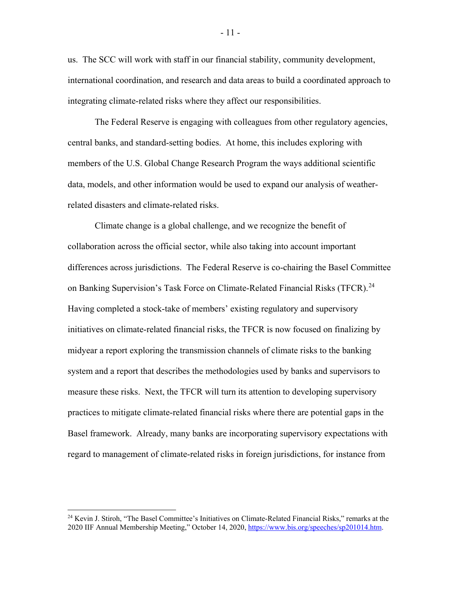us. The SCC will work with staff in our financial stability, community development, international coordination, and research and data areas to build a coordinated approach to integrating climate-related risks where they affect our responsibilities.

The Federal Reserve is engaging with colleagues from other regulatory agencies, central banks, and standard-setting bodies. At home, this includes exploring with members of the U.S. Global Change Research Program the ways additional scientific data, models, and other information would be used to expand our analysis of weatherrelated disasters and climate-related risks.

Climate change is a global challenge, and we recognize the benefit of collaboration across the official sector, while also taking into account important differences across jurisdictions. The Federal Reserve is co-chairing the Basel Committee on Banking Supervision's Task Force on Climate-Related Financial Risks (TFCR).<sup>24</sup> Having completed a stock-take of members' existing regulatory and supervisory initiatives on climate-related financial risks, the TFCR is now focused on finalizing by midyear a report exploring the transmission channels of climate risks to the banking system and a report that describes the methodologies used by banks and supervisors to measure these risks. Next, the TFCR will turn its attention to developing supervisory practices to mitigate climate-related financial risks where there are potential gaps in the Basel framework. Already, many banks are incorporating supervisory expectations with regard to management of climate-related risks in foreign jurisdictions, for instance from

<span id="page-11-0"></span><sup>&</sup>lt;sup>24</sup> Kevin J. Stiroh, "The Basel Committee's Initiatives on Climate-Related Financial Risks," remarks at the 2020 IIF Annual Membership Meeting," October 14, 2020[, https://www.bis.org/speeches/sp201014.htm.](https://www.bis.org/speeches/sp201014.htm)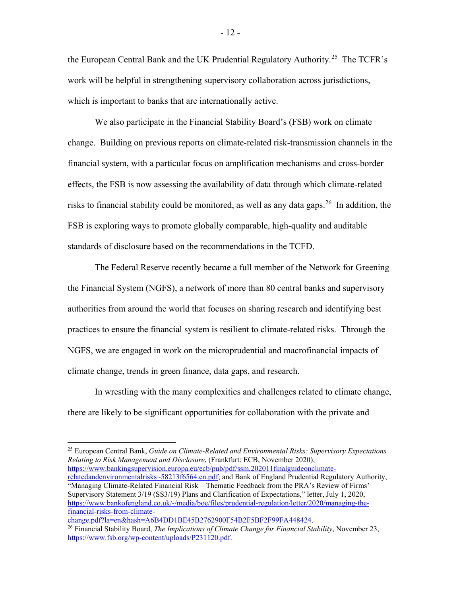the European Central Bank and the UK Prudential Regulatory Authority.<sup>[25](#page-12-0)</sup> The TCFR's work will be helpful in strengthening supervisory collaboration across jurisdictions, which is important to banks that are internationally active.

We also participate in the Financial Stability Board's (FSB) work on climate change. Building on previous reports on climate-related risk-transmission channels in the financial system, with a particular focus on amplification mechanisms and cross-border effects, the FSB is now assessing the availability of data through which climate-related risks to financial stability could be monitored, as well as any data gaps.<sup>[26](#page-12-1)</sup> In addition, the FSB is exploring ways to promote globally comparable, high-quality and auditable standards of disclosure based on the recommendations in the TCFD.

The Federal Reserve recently became a full member of the Network for Greening the Financial System (NGFS), a network of more than 80 central banks and supervisory authorities from around the world that focuses on sharing research and identifying best practices to ensure the financial system is resilient to climate-related risks. Through the NGFS, we are engaged in work on the microprudential and macrofinancial impacts of climate change, trends in green finance, data gaps, and research.

In wrestling with the many complexities and challenges related to climate change, there are likely to be significant opportunities for collaboration with the private and

<span id="page-12-0"></span> 25 European Central Bank, *Guide on Climate-Related and Environmental Risks: Supervisory Expectations Relating to Risk Management and Disclosure*, (Frankfurt: ECB, November 2020), [https://www.bankingsupervision.europa.eu/ecb/pub/pdf/ssm.202011finalguideonclimate](https://www.bankingsupervision.europa.eu/ecb/pub/pdf/ssm.202011finalguideonclimate-relatedandenvironmentalrisks%7E58213f6564.en.pdf)[relatedandenvironmentalrisks~58213f6564.en.pdf;](https://www.bankingsupervision.europa.eu/ecb/pub/pdf/ssm.202011finalguideonclimate-relatedandenvironmentalrisks%7E58213f6564.en.pdf) and Bank of England Prudential Regulatory Authority, "Managing Climate-Related Financial Risk—Thematic Feedback from the PRA's Review of Firms' Supervisory Statement 3/19 (SS3/19) Plans and Clarification of Expectations," letter, July 1, 2020, [https://www.bankofengland.co.uk/-/media/boe/files/prudential-regulation/letter/2020/managing-the](https://www.bankofengland.co.uk/-/media/boe/files/prudential-regulation/letter/2020/managing-the-financial-risks-from-climate-change.pdf?la=en&hash=A6B4DD1BE45B2762900F54B2F5BF2F99FA448424)[financial-risks-from-climate-](https://www.bankofengland.co.uk/-/media/boe/files/prudential-regulation/letter/2020/managing-the-financial-risks-from-climate-change.pdf?la=en&hash=A6B4DD1BE45B2762900F54B2F5BF2F99FA448424)

[change.pdf?la=en&hash=A6B4DD1BE45B2762900F54B2F5BF2F99FA448424.](https://www.bankofengland.co.uk/-/media/boe/files/prudential-regulation/letter/2020/managing-the-financial-risks-from-climate-change.pdf?la=en&hash=A6B4DD1BE45B2762900F54B2F5BF2F99FA448424)

<span id="page-12-1"></span><sup>26</sup> Financial Stability Board, *The Implications of Climate Change for Financial Stability*, November 23, [https://www.fsb.org/wp-content/uploads/P231120.pdf.](https://www.fsb.org/wp-content/uploads/P231120.pdf)